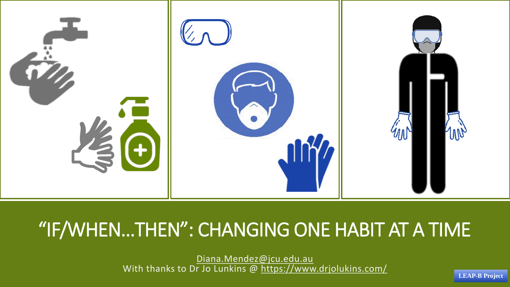

# "IF/WHEN…THEN": CHANGING ONE HABIT AT A TIME

[Diana.Mendez@jcu.edu.au](mailto:Diana.Mendez@jcu.edu.au) With thanks to Dr Jo Lunkins @ <https://www.drjolukins.com/>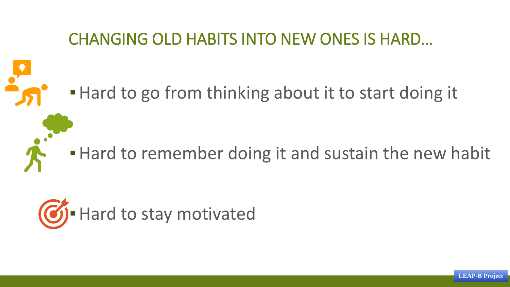## CHANGING OLD HABITS INTO NEW ONES IS HARD…

# **. Hard to go from thinking about it to start doing it**

# **.** Hard to remember doing it and sustain the new habit

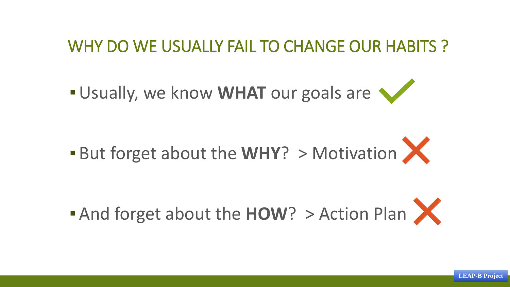### WHY DO WE USUALLY FAIL TO CHANGE OUR HABITS ?

**. Usually, we know WHAT** our goals are



**Example 13 And forget about the HOW?** > Action Plan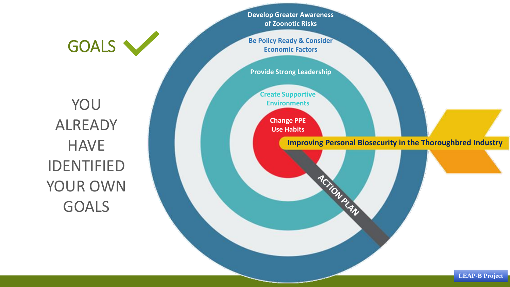**Develop Greater Awareness of Zoonotic Risks**

**Be Policy Ready & Consider Economic Factors**

**Provide Strong Leadership**

**Create Supportive Environments**

> **Change PPE Use Habits**

> > **Improving Personal Biosecurity in the Thoroughbred Industry**

ACTION PLAN

YOU ALREADY **HAVE** IDENTIFIED YOUR OWN GOALS

GOALS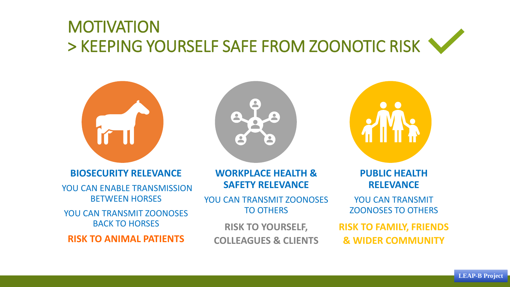# MOTIVATION > KEEPING YOURSELF SAFE FROM ZOONOTIC RISK



**BIOSECURITY RELEVANCE**

YOU CAN ENABLE TRANSMISSION BETWEEN HORSES

YOU CAN TRANSMIT ZOONOSES BACK TO HORSES

**RISK TO ANIMAL PATIENTS**



**WORKPLACE HEALTH & SAFETY RELEVANCE**

YOU CAN TRANSMIT ZOONOSES TO OTHERS

**RISK TO YOURSELF, COLLEAGUES & CLIENTS**



**PUBLIC HEALTH RELEVANCE**

YOU CAN TRANSMIT ZOONOSES TO OTHERS

**RISK TO FAMILY, FRIENDS & WIDER COMMUNITY**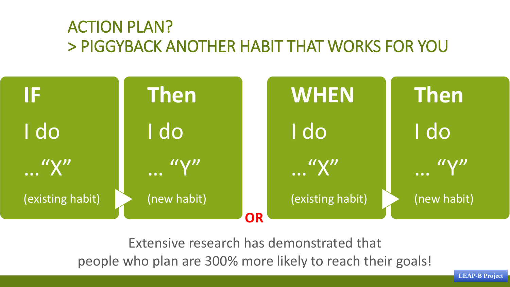## ACTION PLAN? > PIGGYBACK ANOTHER HABIT THAT WORKS FOR YOU



Extensive research has demonstrated that

people who plan are 300% more likely to reach their goals!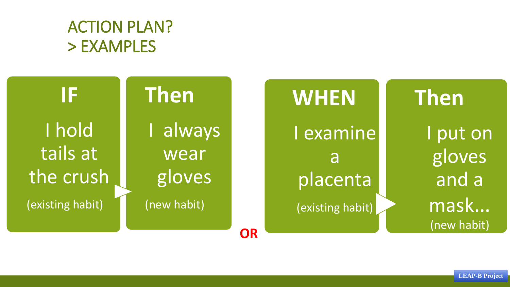## ACTION PLAN? > EXAMPLES

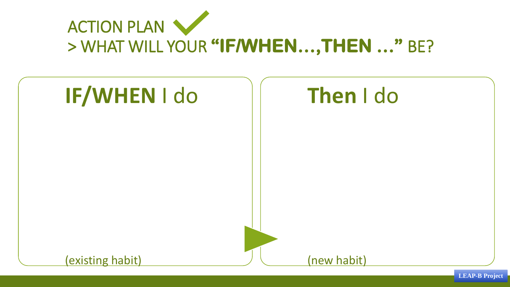